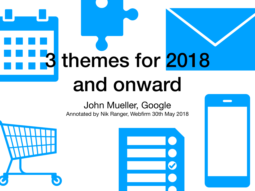# 3 themes for 2018 and onward

#### John Mueller, Google

Annotated by Nik Ranger, Webfirm 30th May 2018



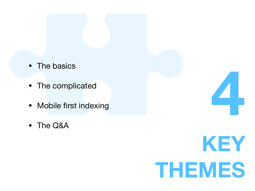- The basics
- The complicated
- Mobile first indexing
- The Q&A



**4**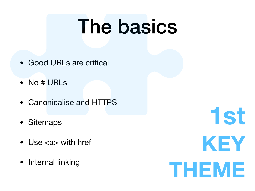# The basics

- Good URLs are critical
- No # URLs
- Canonicalise and HTTPS
- Sitemaps
- Use <a> with href
- Internal linking

**1st KEY THEME**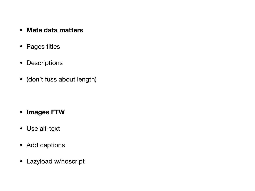- **• Meta data matters**
- Pages titles
- Descriptions
- (don't fuss about length)

- **• Images FTW**
- Use alt-text
- Add captions
- Lazyload w/noscript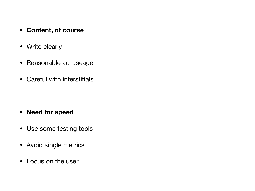- **• Content, of course**
- Write clearly
- Reasonable ad-useage
- Careful with interstitials

- **• Need for speed**
- Use some testing tools
- Avoid single metrics
- Focus on the user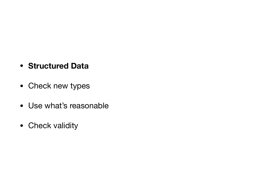#### **• Structured Data**

- Check new types
- Use what's reasonable
- Check validity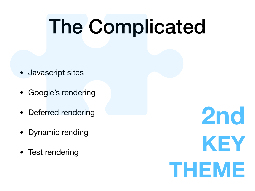# The Complicated

- Javascript sites
- Google's rendering
- Deferred rendering
- Dynamic rending
- Test rendering

**2nd KEY THEME**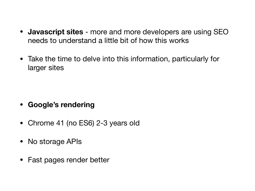- **Javascript sites** more and more developers are using SEO needs to understand a little bit of how this works
- Take the time to delve into this information, particularly for larger sites

- **• Google's rendering**
- Chrome 41 (no ES6) 2-3 years old
- No storage APIs
- Fast pages render better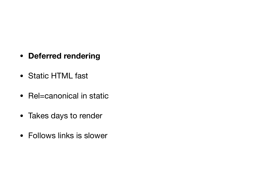- **• Deferred rendering**
- Static HTML fast
- Rel=canonical in static
- Takes days to render
- Follows links is slower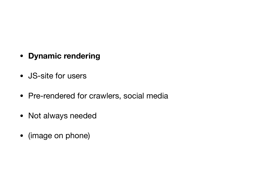- **• Dynamic rendering**
- JS-site for users
- Pre-rendered for crawlers, social media
- Not always needed
- (image on phone)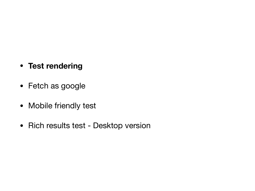- **• Test rendering**
- Fetch as google
- Mobile friendly test
- Rich results test Desktop version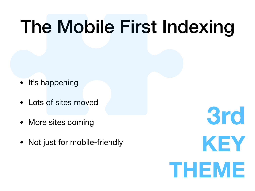# The Mobile First Indexing

- It's happening
- Lots of sites moved
- More sites coming
- Not just for mobile-friendly

**3rd KEY THEME**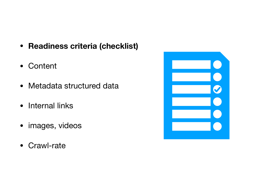- **Readiness criteria (checklist)**
- Content
- Metadata structured data
- Internal links
- images, videos
- Crawl-rate

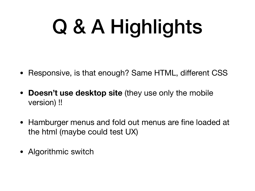# Q & A Highlights

- Responsive, is that enough? Same HTML, different CSS
- **Doesn't use desktop site** (they use only the mobile version) !!
- Hamburger menus and fold out menus are fine loaded at the html (maybe could test UX)
- Algorithmic switch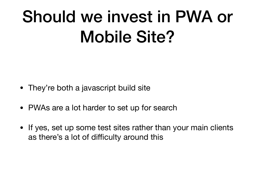### Should we invest in PWA or Mobile Site?

- They're both a javascript build site
- PWAs are a lot harder to set up for search
- If yes, set up some test sites rather than your main clients as there's a lot of difficulty around this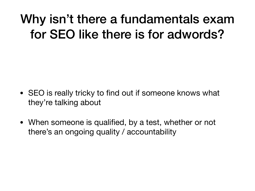#### Why isn't there a fundamentals exam for SEO like there is for adwords?

- SEO is really tricky to find out if someone knows what they're talking about
- When someone is qualified, by a test, whether or not there's an ongoing quality / accountability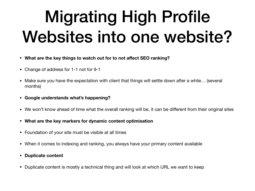### Migrating High Profile Websites into one website?

- **• What are the key things to watch out for to not affect SEO ranking?**
- Change of address for 1-1 not for 9-1
- Make sure you have the expectation with client that things will settle down after a while… (several months)
- **• Google understands what's happening?**
- We won't know ahead of time what the overall ranking will be, it can be different from their original sites
- **• What are the key markers for dynamic content optimisation**
- Foundation of your site must be visible at all times
- When it comes to indexing and ranking, you always have your primary content available
- **• Duplicate content**
- Duplicate content is mostly a technical thing and will look at which URL we want to keep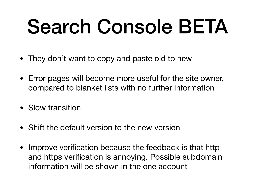# Search Console BETA

- They don't want to copy and paste old to new
- Error pages will become more useful for the site owner, compared to blanket lists with no further information
- Slow transition
- Shift the default version to the new version
- Improve verification because the feedback is that http and https verification is annoying. Possible subdomain information will be shown in the one account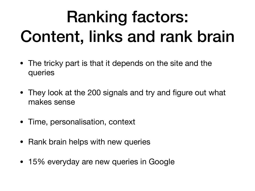### Ranking factors: Content, links and rank brain

- The tricky part is that it depends on the site and the queries
- They look at the 200 signals and try and figure out what makes sense
- Time, personalisation, context
- Rank brain helps with new queries
- 15% everyday are new queries in Google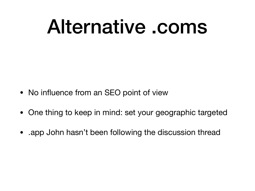### Alternative .coms

- No influence from an SEO point of view
- One thing to keep in mind: set your geographic targeted
- app John hasn't been following the discussion thread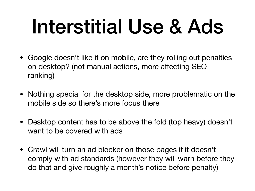# Interstitial Use & Ads

- Google doesn't like it on mobile, are they rolling out penalties on desktop? (not manual actions, more affecting SEO ranking)
- Nothing special for the desktop side, more problematic on the mobile side so there's more focus there
- Desktop content has to be above the fold (top heavy) doesn't want to be covered with ads
- Crawl will turn an ad blocker on those pages if it doesn't comply with ad standards (however they will warn before they do that and give roughly a month's notice before penalty)